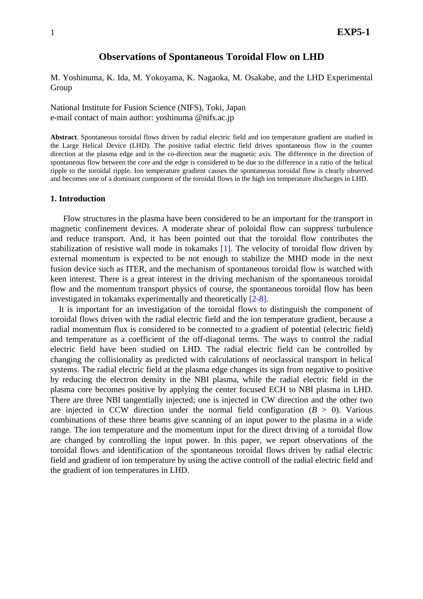## **Observations of Spontaneous Toroidal Flow on LHD**

M. Yoshinuma, K. Ida, M. Yokoyama, K. Nagaoka, M. Osakabe, and the LHD Experimental Group

National Institute for Fusion Science (NIFS), Toki, Japan e-mail contact of main author: yoshinuma @nifs.ac.jp

**Abstract**. Spontaneous toroidal flows driven by radial electric field and ion temperature gradient are studied in the Large Helical Device (LHD). The positive radial electric field drives spontaneous flow in the counter direction at the plasma edge and in the co-direction near the magnetic axis. The difference in the direction of spontaneous flow between the core and the edge is considered to be due to the difference in a ratio of the helical ripple to the toroidal ripple. Ion temperature gradient causes the spontaneous toroidal flow is clearly observed and becomes one of a dominant component of the toroidal flows in the high ion temperature discharges in LHD.

## **1. Introduction**

Flow structures in the plasma have been considered to be an important for the transport in magnetic confinement devices. A moderate shear of poloidal flow can suppress turbulence and reduce transport. And, it has been pointed out that the toroidal flow contributes the stabilization of resistive wall mode in tokamaks [1]. The velocity of toroidal flow driven by external momentum is expected to be not enough to stabilize the MHD mode in the next fusion device such as ITER, and the mechanism of spontaneous toroidal flow is watched with keen interest. There is a great interest in the driving mechanism of the spontaneous toroidal flow and the momentum transport physics of course, the spontaneous toroidal flow has been investigated in tokamaks experimentally and theoretically [2-8].

It is important for an investigation of the toroidal flows to distinguish the component of toroidal flows driven with the radial electric field and the ion temperature gradient, because a radial momentum flux is considered to be connected to a gradient of potential (electric field) and temperature as a coefficient of the off-diagonal terms. The ways to control the radial electric field have been studied on LHD. The radial electric field can be controlled by changing the collisionality as predicted with calculations of neoclassical transport in helical systems. The radial electric field at the plasma edge changes its sign from negative to positive by reducing the electron density in the NBI plasma, while the radial electric field in the plasma core becomes positive by applying the center focused ECH to NBI plasma in LHD. There are three NBI tangentially injected; one is injected in CW direction and the other two are injected in CCW direction under the normal field configuration  $(B > 0)$ . Various combinations of these three beams give scanning of an input power to the plasma in a wide range. The ion temperature and the momentum input for the direct driving of a toroidal flow are changed by controlling the input power. In this paper, we report observations of the toroidal flows and identification of the spontaneous toroidal flows driven by radial electric field and gradient of ion temperature by using the active controll of the radial electric field and the gradient of ion temperatures in LHD.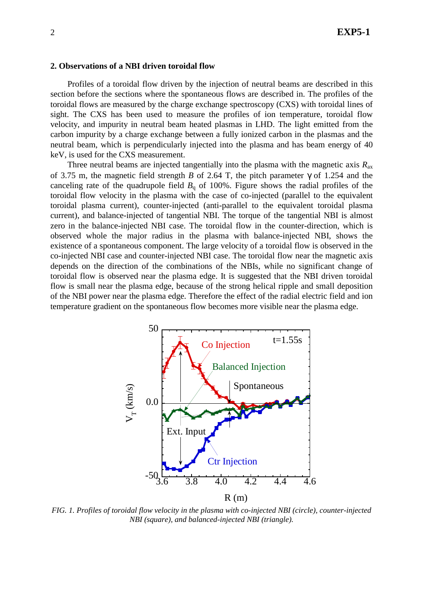#### **2. Observations of a NBI driven toroidal flow**

Profiles of a toroidal flow driven by the injection of neutral beams are described in this section before the sections where the spontaneous flows are described in. The profiles of the toroidal flows are measured by the charge exchange spectroscopy (CXS) with toroidal lines of sight. The CXS has been used to measure the profiles of ion temperature, toroidal flow velocity, and impurity in neutral beam heated plasmas in LHD. The light emitted from the carbon impurity by a charge exchange between a fully ionized carbon in the plasmas and the neutral beam, which is perpendicularly injected into the plasma and has beam energy of 40 keV, is used for the CXS measurement.

Three neutral beams are injected tangentially into the plasma with the magnetic axis *R*ax of 3.75 m, the magnetic field strength *B* of 2.64 T, the pitch parameter γ of 1.254 and the canceling rate of the quadrupole field  $B<sub>q</sub>$  of 100%. Figure shows the radial profiles of the toroidal flow velocity in the plasma with the case of co-injected (parallel to the equivalent toroidal plasma current), counter-injected (anti-parallel to the equivalent toroidal plasma current), and balance-injected of tangential NBI. The torque of the tangential NBI is almost zero in the balance-injected NBI case. The toroidal flow in the counter-direction, which is observed whole the major radius in the plasma with balance-injected NBI, shows the existence of a spontaneous component. The large velocity of a toroidal flow is observed in the co-injected NBI case and counter-injected NBI case. The toroidal flow near the magnetic axis depends on the direction of the combinations of the NBIs, while no significant change of toroidal flow is observed near the plasma edge. It is suggested that the NBI driven toroidal flow is small near the plasma edge, because of the strong helical ripple and small deposition of the NBI power near the plasma edge. Therefore the effect of the radial electric field and ion temperature gradient on the spontaneous flow becomes more visible near the plasma edge.



*FIG. 1. Profiles of toroidal flow velocity in the plasma with co-injected NBI (circle), counter-injected NBI (square), and balanced-injected NBI (triangle).*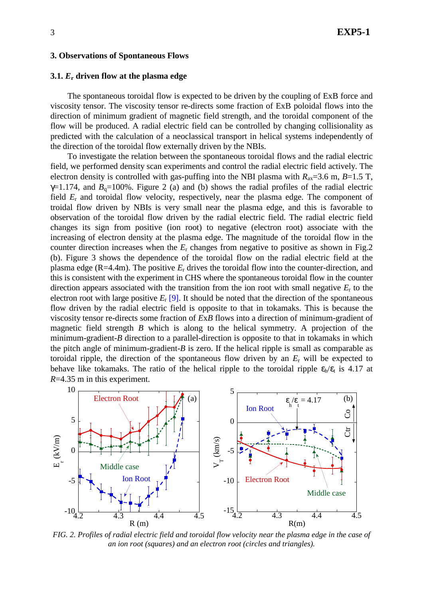#### **3. Observations of Spontaneous Flows**

### **3.1.** *E***r driven flow at the plasma edge**

The spontaneous toroidal flow is expected to be driven by the coupling of ExB force and viscosity tensor. The viscosity tensor re-directs some fraction of ExB poloidal flows into the direction of minimum gradient of magnetic field strength, and the toroidal component of the flow will be produced. A radial electric field can be controlled by changing collisionality as predicted with the calculation of a neoclassical transport in helical systems independently of the direction of the toroidal flow externally driven by the NBIs.

To investigate the relation between the spontaneous toroidal flows and the radial electric field, we performed density scan experiments and control the radial electric field actively. The electron density is controlled with gas-puffing into the NBI plasma with  $R_{ax}=3.6$  m,  $B=1.5$  T,  $\gamma$ =1.174, and  $B_q$ =100%. Figure 2 (a) and (b) shows the radial profiles of the radial electric field *E*r and toroidal flow velocity, respectively, near the plasma edge. The component of troidal flow driven by NBIs is very small near the plasma edge, and this is favorable to observation of the toroidal flow driven by the radial electric field. The radial electric field changes its sign from positive (ion root) to negative (electron root) associate with the increasing of electron density at the plasma edge. The magnitude of the toroidal flow in the counter direction increases when the *E*r changes from negative to positive as shown in Fig.2 (b). Figure 3 shows the dependence of the toroidal flow on the radial electric field at the plasma edge (R=4.4m). The positive *E*r drives the toroidal flow into the counter-direction, and this is consistent with the experiment in CHS where the spontaneous toroidal flow in the counter direction appears associated with the transition from the ion root with small negative *E*r to the electron root with large positive  $E_r$  [9]. It should be noted that the direction of the spontaneous flow driven by the radial electric field is opposite to that in tokamaks. This is because the viscosity tensor re-directs some fraction of *E*x*B* flows into a direction of minimum-gradient of magnetic field strength *B* which is along to the helical symmetry. A projection of the minimum-gradient-*B* direction to a parallel-direction is opposite to that in tokamaks in which the pitch angle of minimum-gradient-*B* is zero. If the helical ripple is small as comparable as toroidal ripple, the direction of the spontaneous flow driven by an *E*r will be expected to behave like tokamaks. The ratio of the helical ripple to the toroidal ripple  $\varepsilon_h/\varepsilon_t$  is 4.17 at *R*=4.35 m in this experiment.



*FIG. 2. Profiles of radial electric field and toroidal flow velocity near the plasma edge in the case of an ion root (squares) and an electron root (circles and triangles).*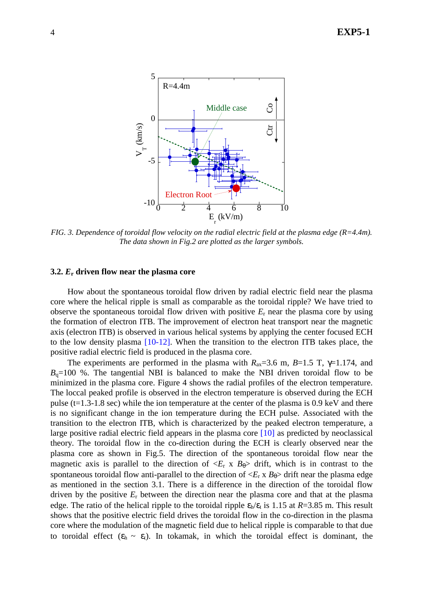

*FIG. 3. Dependence of toroidal flow velocity on the radial electric field at the plasma edge (R=4.4m). The data shown in Fig.2 are plotted as the larger symbols.* 

#### **3.2.** *E***r driven flow near the plasma core**

How about the spontaneous toroidal flow driven by radial electric field near the plasma core where the helical ripple is small as comparable as the toroidal ripple? We have tried to observe the spontaneous toroidal flow driven with positive *E*r near the plasma core by using the formation of electron ITB. The improvement of electron heat transport near the magnetic axis (electron ITB) is observed in various helical systems by applying the center focused ECH to the low density plasma [10-12]. When the transition to the electron ITB takes place, the positive radial electric field is produced in the plasma core.

The experiments are performed in the plasma with  $R_{ax}=3.6$  m,  $B=1.5$  T,  $\gamma=1.174$ , and  $B<sub>q</sub>=100$  %. The tangential NBI is balanced to make the NBI driven toroidal flow to be minimized in the plasma core. Figure 4 shows the radial profiles of the electron temperature. The loccal peaked profile is observed in the electron temperature is observed during the ECH pulse ( $t=1.3-1.8$  sec) while the ion temperature at the center of the plasma is 0.9 keV and there is no significant change in the ion temperature during the ECH pulse. Associated with the transition to the electron ITB, which is characterized by the peaked electron temperature, a large positive radial electric field appears in the plasma core [10] as predicted by neoclassical theory. The toroidal flow in the co-direction during the ECH is clearly observed near the plasma core as shown in Fig.5. The direction of the spontaneous toroidal flow near the magnetic axis is parallel to the direction of  $\langle E_r \times B_\theta \rangle$  drift, which is in contrast to the spontaneous toroidal flow anti-parallel to the direction of  $\langle E_r \times B_\theta \rangle$  drift near the plasma edge as mentioned in the section 3.1. There is a difference in the direction of the toroidal flow driven by the positive *E*r between the direction near the plasma core and that at the plasma edge. The ratio of the helical ripple to the toroidal ripple  $\varepsilon_h/\varepsilon_t$  is 1.15 at  $R=3.85$  m. This result shows that the positive electric field drives the toroidal flow in the co-direction in the plasma core where the modulation of the magnetic field due to helical ripple is comparable to that due to toroidal effect  $(\epsilon_h \sim \epsilon_t)$ . In tokamak, in which the toroidal effect is dominant, the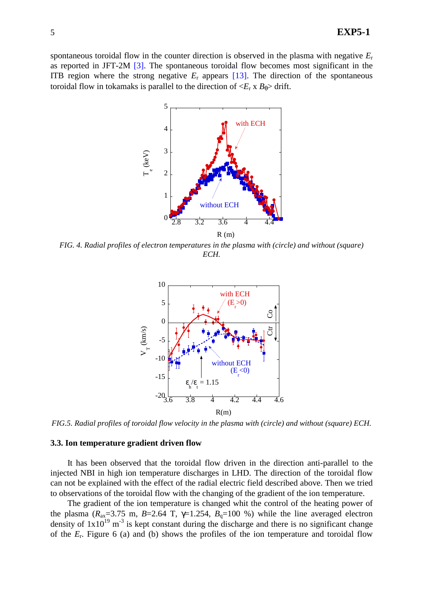spontaneous toroidal flow in the counter direction is observed in the plasma with negative *E*<sup>r</sup> as reported in JFT-2M [3]. The spontaneous toroidal flow becomes most significant in the ITB region where the strong negative  $E_r$  appears  $[13]$ . The direction of the spontaneous toroidal flow in tokamaks is parallel to the direction of  $\langle E_r \times B_\theta \rangle$  drift.



*FIG. 4. Radial profiles of electron temperatures in the plasma with (circle) and without (square) ECH.* 



*FIG.5. Radial profiles of toroidal flow velocity in the plasma with (circle) and without (square) ECH.* 

#### **3.3. Ion temperature gradient driven flow**

 It has been observed that the toroidal flow driven in the direction anti-parallel to the injected NBI in high ion temperature discharges in LHD. The direction of the toroidal flow can not be explained with the effect of the radial electric field described above. Then we tried to observations of the toroidal flow with the changing of the gradient of the ion temperature.

The gradient of the ion temperature is changed whit the control of the heating power of the plasma ( $R_{ax}$ =3.75 m,  $B$ =2.64 T,  $\gamma$ =1.254,  $B_q$ =100 %) while the line averaged electron density of  $1x10^{19}$  m<sup>-3</sup> is kept constant during the discharge and there is no significant change of the *E*r. Figure 6 (a) and (b) shows the profiles of the ion temperature and toroidal flow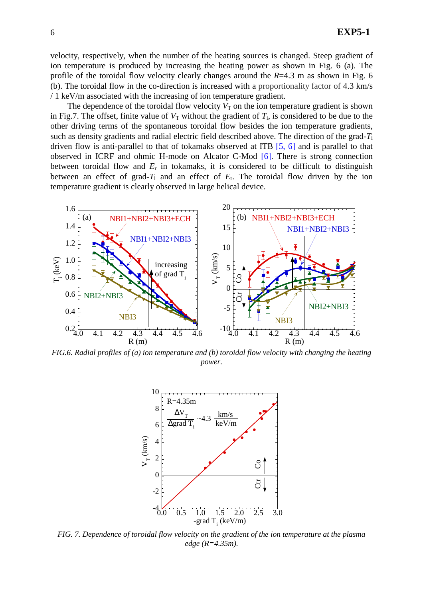velocity, respectively, when the number of the heating sources is changed. Steep gradient of ion temperature is produced by increasing the heating power as shown in Fig. 6 (a). The profile of the toroidal flow velocity clearly changes around the *R*=4.3 m as shown in Fig. 6 (b). The toroidal flow in the co-direction is increased with a proportionality factor of 4.3 km/s / 1 keV/m associated with the increasing of ion temperature gradient.

The dependence of the toroidal flow velocity  $V<sub>T</sub>$  on the ion temperature gradient is shown in Fig.7. The offset, finite value of  $V_T$  without the gradient of  $T_i$ , is considered to be due to the other driving terms of the spontaneous toroidal flow besides the ion temperature gradients, such as density gradients and radial electric field described above. The direction of the grad-*T*<sup>i</sup> driven flow is anti-parallel to that of tokamaks observed at ITB [5, 6] and is parallel to that observed in ICRF and ohmic H-mode on Alcator C-Mod [6]. There is strong connection between toroidal flow and  $E_r$  in tokamaks, it is considered to be difficult to distinguish between an effect of grad- $T_i$  and an effect of  $E_r$ . The toroidal flow driven by the ion temperature gradient is clearly observed in large helical device.



*FIG.6. Radial profiles of (a) ion temperature and (b) toroidal flow velocity with changing the heating power.* 



*FIG. 7. Dependence of toroidal flow velocity on the gradient of the ion temperature at the plasma edge (R=4.35m).*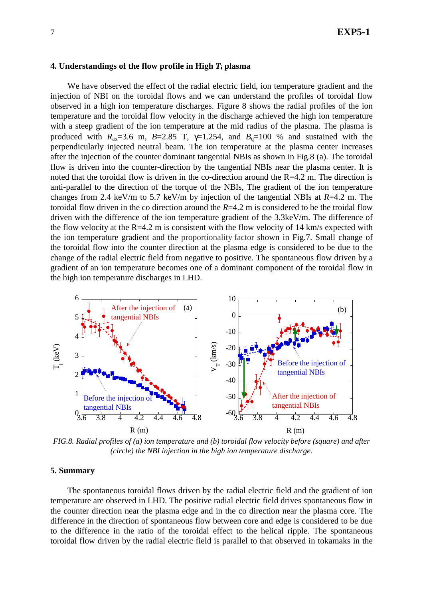### **4. Understandings of the flow profile in High** *T***i plasma**

We have observed the effect of the radial electric field, ion temperature gradient and the injection of NBI on the toroidal flows and we can understand the profiles of toroidal flow observed in a high ion temperature discharges. Figure 8 shows the radial profiles of the ion temperature and the toroidal flow velocity in the discharge achieved the high ion temperature with a steep gradient of the ion temperature at the mid radius of the plasma. The plasma is produced with  $R_{ax}=3.6$  m,  $B=2.85$  T,  $\gamma=1.254$ , and  $B_q=100$  % and sustained with the perpendicularly injected neutral beam. The ion temperature at the plasma center increases after the injection of the counter dominant tangential NBIs as shown in Fig.8 (a). The toroidal flow is driven into the counter-direction by the tangential NBIs near the plasma center. It is noted that the toroidal flow is driven in the co-direction around the  $R=4.2$  m. The direction is anti-parallel to the direction of the torque of the NBIs, The gradient of the ion temperature changes from 2.4 keV/m to 5.7 keV/m by injection of the tangential NBIs at *R*=4.2 m. The toroidal flow driven in the co direction around the *R*=4.2 m is considered to be the troidal flow driven with the difference of the ion temperature gradient of the 3.3keV/m. The difference of the flow velocity at the  $R=4.2$  m is consistent with the flow velocity of 14 km/s expected with the ion temperature gradient and the proportionality factor shown in Fig.7. Small change of the toroidal flow into the counter direction at the plasma edge is considered to be due to the change of the radial electric field from negative to positive. The spontaneous flow driven by a gradient of an ion temperature becomes one of a dominant component of the toroidal flow in the high ion temperature discharges in LHD.



*FIG.8. Radial profiles of (a) ion temperature and (b) toroidal flow velocity before (square) and after (circle) the NBI injection in the high ion temperature discharge.* 

## **5. Summary**

The spontaneous toroidal flows driven by the radial electric field and the gradient of ion temperature are observed in LHD. The positive radial electric field drives spontaneous flow in the counter direction near the plasma edge and in the co direction near the plasma core. The difference in the direction of spontaneous flow between core and edge is considered to be due to the difference in the ratio of the toroidal effect to the helical ripple. The spontaneous toroidal flow driven by the radial electric field is parallel to that observed in tokamaks in the